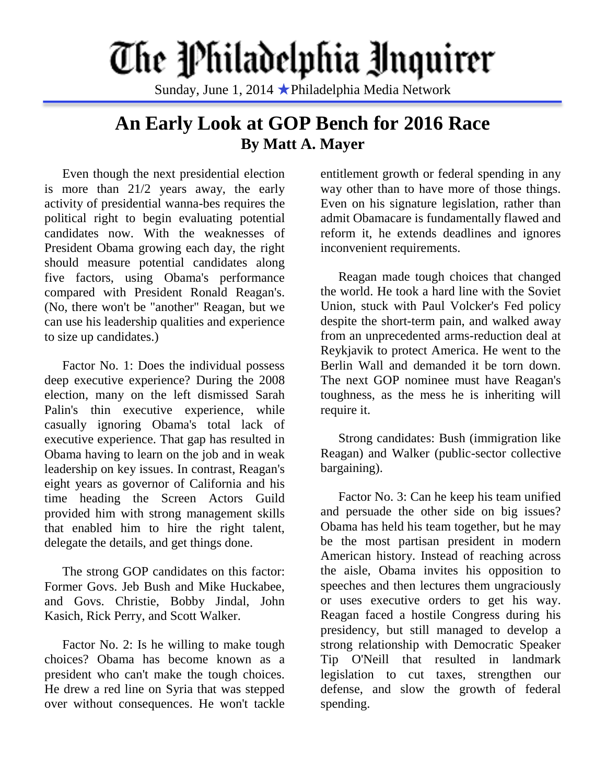## The Philadelphia Unquirer

Sunday, June 1, 2014 ★Philadelphia Media Network

## **An Early Look at GOP Bench for 2016 Race By Matt A. Mayer**

Even though the next presidential election is more than 21/2 years away, the early activity of presidential wanna-bes requires the political right to begin evaluating potential candidates now. With the weaknesses of President Obama growing each day, the right should measure potential candidates along five factors, using Obama's performance compared with President Ronald Reagan's. (No, there won't be "another" Reagan, but we can use his leadership qualities and experience to size up candidates.)

Factor No. 1: Does the individual possess deep executive experience? During the 2008 election, many on the left dismissed Sarah Palin's thin executive experience, while casually ignoring Obama's total lack of executive experience. That gap has resulted in Obama having to learn on the job and in weak leadership on key issues. In contrast, Reagan's eight years as governor of California and his time heading the Screen Actors Guild provided him with strong management skills that enabled him to hire the right talent, delegate the details, and get things done.

The strong GOP candidates on this factor: Former Govs. Jeb Bush and Mike Huckabee, and Govs. Christie, Bobby Jindal, John Kasich, Rick Perry, and Scott Walker.

Factor No. 2: Is he willing to make tough choices? Obama has become known as a president who can't make the tough choices. He drew a red line on Syria that was stepped over without consequences. He won't tackle

entitlement growth or federal spending in any way other than to have more of those things. Even on his signature legislation, rather than admit Obamacare is fundamentally flawed and reform it, he extends deadlines and ignores inconvenient requirements.

Reagan made tough choices that changed the world. He took a hard line with the Soviet Union, stuck with Paul Volcker's Fed policy despite the short-term pain, and walked away from an unprecedented arms-reduction deal at Reykjavik to protect America. He went to the Berlin Wall and demanded it be torn down. The next GOP nominee must have Reagan's toughness, as the mess he is inheriting will require it.

Strong candidates: Bush (immigration like Reagan) and Walker (public-sector collective bargaining).

Factor No. 3: Can he keep his team unified and persuade the other side on big issues? Obama has held his team together, but he may be the most partisan president in modern American history. Instead of reaching across the aisle, Obama invites his opposition to speeches and then lectures them ungraciously or uses executive orders to get his way. Reagan faced a hostile Congress during his presidency, but still managed to develop a strong relationship with Democratic Speaker Tip O'Neill that resulted in landmark legislation to cut taxes, strengthen our defense, and slow the growth of federal spending.